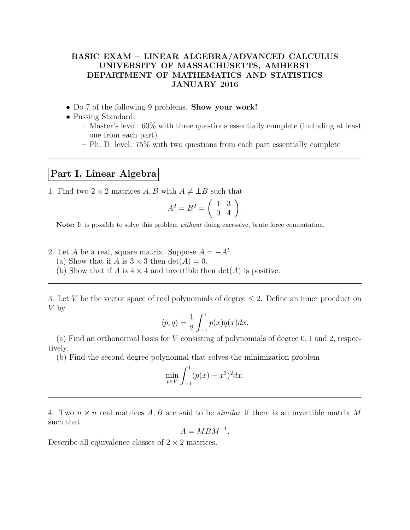## BASIC EXAM – LINEAR ALGEBRA/ADVANCED CALCULUS UNIVERSITY OF MASSACHUSETTS, AMHERST DEPARTMENT OF MATHEMATICS AND STATISTICS JANUARY 2016

- Do 7 of the following 9 problems. **Show your work!**
- Passing Standard:
	- Master's level: 60% with three questions essentially complete (including at least one from each part)
	- Ph. D. level: 75% with two questions from each part essentially complete

## Part I. Linear Algebra

1. Find two  $2 \times 2$  matrices A, B with  $A \neq \pm B$  such that

$$
A^2 = B^2 = \left(\begin{array}{cc} 1 & 3 \\ 0 & 4 \end{array}\right).
$$

Note: It is possible to solve this problem *without* doing excessive, brute force computation.

- 2. Let A be a real, square matrix. Suppose  $A = -A^t$ .
	- (a) Show that if A is  $3 \times 3$  then  $\det(A) = 0$ .
	- (b) Show that if A is  $4 \times 4$  and invertible then  $\det(A)$  is positive.

3. Let V be the vector space of real polynomials of degree  $\leq$  2. Define an inner proeduct on V by

$$
\langle p, q \rangle = \frac{1}{2} \int_{-1}^{1} p(x) q(x) dx.
$$

(a) Find an orthonormal basis for V consisting of polynomials of degree 0, 1 and 2, respectively.

(b) Find the second degree polynoimal that solves the minimization problem

$$
\min_{p \in V} \int_{-1}^{1} (p(x) - x^3)^2 dx.
$$

4. Two  $n \times n$  real matrices A, B are said to be *similar* if there is an invertible matrix M such that

 $A = MBM^{-1}.$ 

Describe all equivalence classes of  $2 \times 2$  matrices.